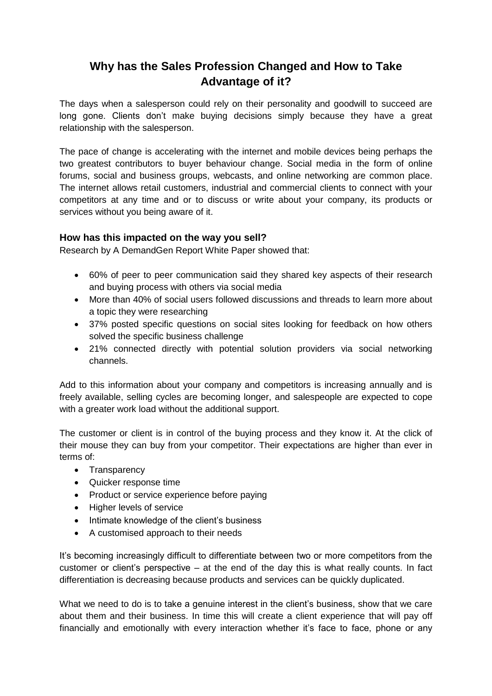## **Why has the Sales Profession Changed and How to Take Advantage of it?**

The days when a salesperson could rely on their personality and goodwill to succeed are long gone. Clients don't make buying decisions simply because they have a great relationship with the salesperson.

The pace of change is accelerating with the internet and mobile devices being perhaps the two greatest contributors to buyer behaviour change. Social media in the form of online forums, social and business groups, webcasts, and online networking are common place. The internet allows retail customers, industrial and commercial clients to connect with your competitors at any time and or to discuss or write about your company, its products or services without you being aware of it.

## **How has this impacted on the way you sell?**

Research by A DemandGen Report White Paper showed that:

- 60% of peer to peer communication said they shared key aspects of their research and buying process with others via social media
- More than 40% of social users followed discussions and threads to learn more about a topic they were researching
- 37% posted specific questions on social sites looking for feedback on how others solved the specific business challenge
- 21% connected directly with potential solution providers via social networking channels.

Add to this information about your company and competitors is increasing annually and is freely available, selling cycles are becoming longer, and salespeople are expected to cope with a greater work load without the additional support.

The customer or client is in control of the buying process and they know it. At the click of their mouse they can buy from your competitor. Their expectations are higher than ever in terms of:

- Transparency
- Quicker response time
- Product or service experience before paying
- Higher levels of service
- Intimate knowledge of the client's business
- A customised approach to their needs

It's becoming increasingly difficult to differentiate between two or more competitors from the customer or client's perspective – at the end of the day this is what really counts. In fact differentiation is decreasing because products and services can be quickly duplicated.

What we need to do is to take a genuine interest in the client's business, show that we care about them and their business. In time this will create a client experience that will pay off financially and emotionally with every interaction whether it's face to face, phone or any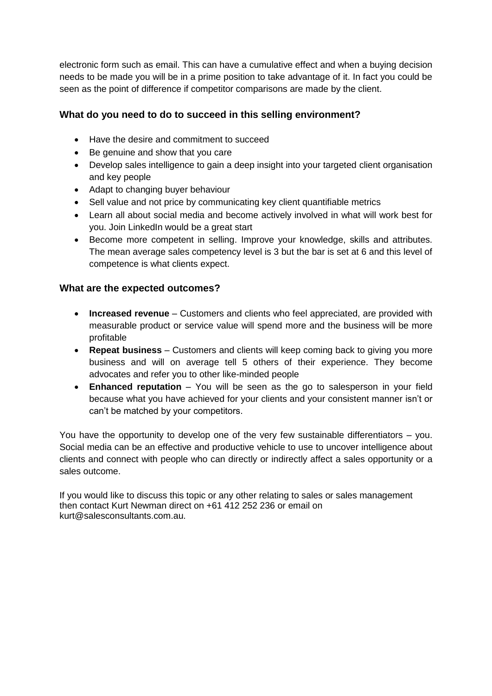electronic form such as email. This can have a cumulative effect and when a buying decision needs to be made you will be in a prime position to take advantage of it. In fact you could be seen as the point of difference if competitor comparisons are made by the client.

## **What do you need to do to succeed in this selling environment?**

- Have the desire and commitment to succeed
- Be genuine and show that you care
- Develop sales intelligence to gain a deep insight into your targeted client organisation and key people
- Adapt to changing buyer behaviour
- Sell value and not price by communicating key client quantifiable metrics
- Learn all about social media and become actively involved in what will work best for you. Join LinkedIn would be a great start
- Become more competent in selling. Improve your knowledge, skills and attributes. The mean average sales competency level is 3 but the bar is set at 6 and this level of competence is what clients expect.

## **What are the expected outcomes?**

- **Increased revenue** Customers and clients who feel appreciated, are provided with measurable product or service value will spend more and the business will be more profitable
- **Repeat business** Customers and clients will keep coming back to giving you more business and will on average tell 5 others of their experience. They become advocates and refer you to other like-minded people
- **Enhanced reputation** You will be seen as the go to salesperson in your field because what you have achieved for your clients and your consistent manner isn't or can't be matched by your competitors.

You have the opportunity to develop one of the very few sustainable differentiators – you. Social media can be an effective and productive vehicle to use to uncover intelligence about clients and connect with people who can directly or indirectly affect a sales opportunity or a sales outcome.

If you would like to discuss this topic or any other relating to sales or sales management then contact Kurt Newman direct on +61 412 252 236 or email on kurt@salesconsultants.com.au.